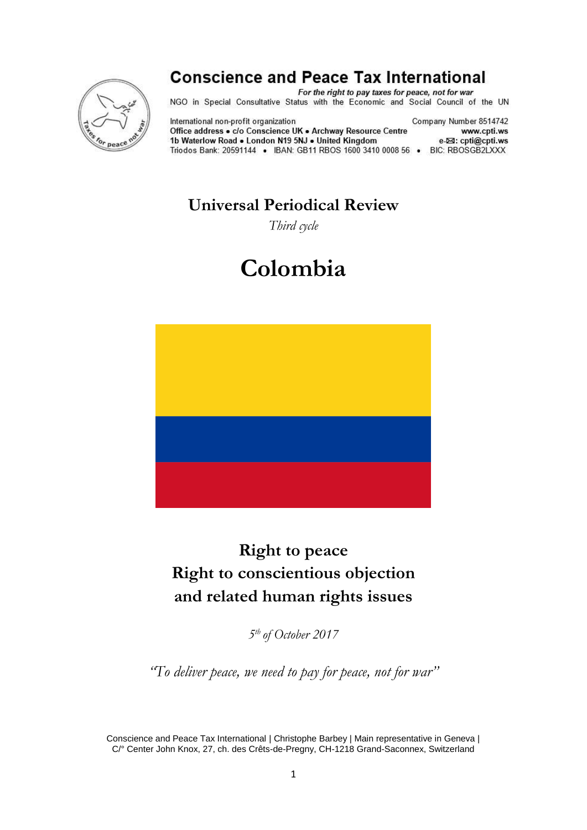

## **Conscience and Peace Tax International**

For the right to pay taxes for peace, not for war NGO in Special Consultative Status with the Economic and Social Council of the UN

International non-profit organization Office address . c/o Conscience UK . Archway Resource Centre 1b Waterlow Road . London N19 5NJ . United Kingdom Triodos Bank: 20591144 · IBAN: GB11 RBOS 1600 3410 0008 56 · BIC: RBOSGB2LXXX

Company Number 8514742 www.cpti.ws e-⊠: cpti@cpti.ws

## **Universal Periodical Review**

*Third cycle*

# **Colombia**



## **Right to peace Right to conscientious objection and related human rights issues**

*5 th of October 2017*

*"To deliver peace, we need to pay for peace, not for war"*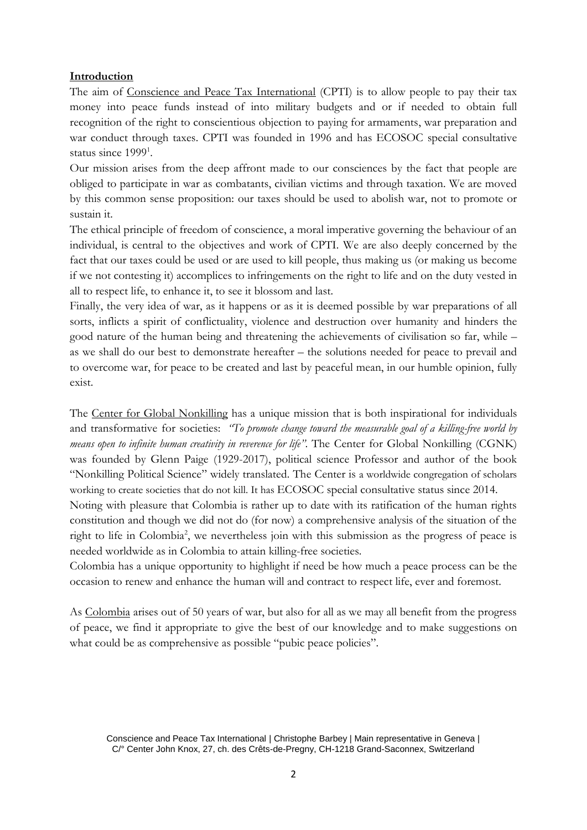#### **Introduction**

The aim of Conscience and Peace Tax International (CPTI) is to allow people to pay their tax money into peace funds instead of into military budgets and or if needed to obtain full recognition of the right to conscientious objection to paying for armaments, war preparation and war conduct through taxes. CPTI was founded in 1996 and has ECOSOC special consultative status since 1999<sup>1</sup>.

Our mission arises from the deep affront made to our consciences by the fact that people are obliged to participate in war as combatants, civilian victims and through taxation. We are moved by this common sense proposition: our taxes should be used to abolish war, not to promote or sustain it.

The ethical principle of freedom of conscience, a moral imperative governing the behaviour of an individual, is central to the objectives and work of CPTI. We are also deeply concerned by the fact that our taxes could be used or are used to kill people, thus making us (or making us become if we not contesting it) accomplices to infringements on the right to life and on the duty vested in all to respect life, to enhance it, to see it blossom and last.

Finally, the very idea of war, as it happens or as it is deemed possible by war preparations of all sorts, inflicts a spirit of conflictuality, violence and destruction over humanity and hinders the good nature of the human being and threatening the achievements of civilisation so far, while – as we shall do our best to demonstrate hereafter – the solutions needed for peace to prevail and to overcome war, for peace to be created and last by peaceful mean, in our humble opinion, fully exist.

The Center for Global Nonkilling has a unique mission that is both inspirational for individuals and transformative for societies: *"To promote change toward the measurable goal of a killing-free world by means open to infinite human creativity in reverence for life".* The Center for Global Nonkilling (CGNK) was founded by Glenn Paige (1929-2017), political science Professor and author of the book "Nonkilling Political Science" widely translated. The Center is a worldwide congregation of scholars working to create societies that do not kill. It has ECOSOC special consultative status since 2014. Noting with pleasure that Colombia is rather up to date with its ratification of the human rights constitution and though we did not do (for now) a comprehensive analysis of the situation of the right to life in Colombia<sup>2</sup>, we nevertheless join with this submission as the progress of peace is needed worldwide as in Colombia to attain killing-free societies.

Colombia has a unique opportunity to highlight if need be how much a peace process can be the occasion to renew and enhance the human will and contract to respect life, ever and foremost.

As Colombia arises out of 50 years of war, but also for all as we may all benefit from the progress of peace, we find it appropriate to give the best of our knowledge and to make suggestions on what could be as comprehensive as possible "pubic peace policies".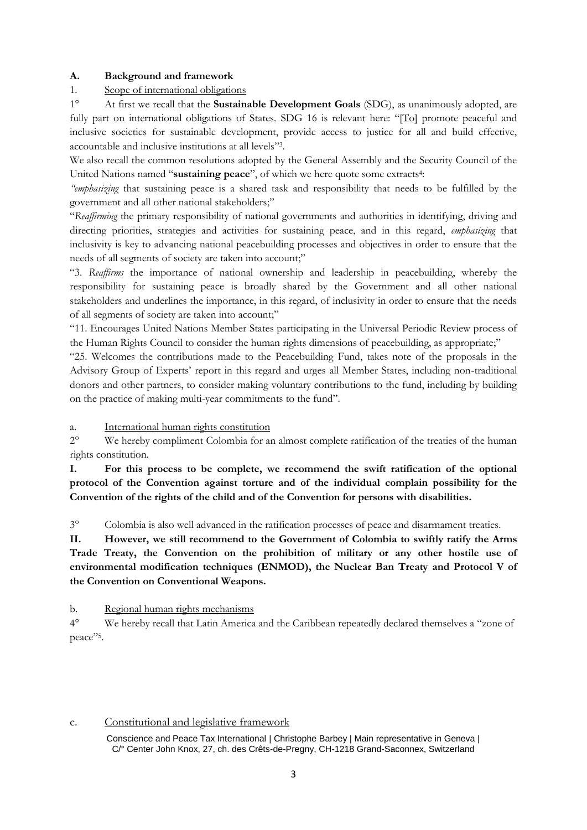#### **A. Background and framework**

#### 1. Scope of international obligations

1° At first we recall that the **Sustainable Development Goals** (SDG), as unanimously adopted, are fully part on international obligations of States. SDG 16 is relevant here: "[To] promote peaceful and inclusive societies for sustainable development, provide access to justice for all and build effective, accountable and inclusive institutions at all levels" 3 .

We also recall the common resolutions adopted by the General Assembly and the Security Council of the United Nations named "sustaining peace", of which we here quote some extracts<sup>4</sup>:

*"emphasizing* that sustaining peace is a shared task and responsibility that needs to be fulfilled by the government and all other national stakeholders;"

"*Reaffirming* the primary responsibility of national governments and authorities in identifying, driving and directing priorities, strategies and activities for sustaining peace, and in this regard, *emphasizing* that inclusivity is key to advancing national peacebuilding processes and objectives in order to ensure that the needs of all segments of society are taken into account;"

"3. *Reaffirms* the importance of national ownership and leadership in peacebuilding, whereby the responsibility for sustaining peace is broadly shared by the Government and all other national stakeholders and underlines the importance, in this regard, of inclusivity in order to ensure that the needs of all segments of society are taken into account;"

"11. Encourages United Nations Member States participating in the Universal Periodic Review process of the Human Rights Council to consider the human rights dimensions of peacebuilding, as appropriate;"

"25. Welcomes the contributions made to the Peacebuilding Fund, takes note of the proposals in the Advisory Group of Experts' report in this regard and urges all Member States, including non-traditional donors and other partners, to consider making voluntary contributions to the fund, including by building on the practice of making multi-year commitments to the fund".

a. International human rights constitution

2° We hereby compliment Colombia for an almost complete ratification of the treaties of the human rights constitution.

**I. For this process to be complete, we recommend the swift ratification of the optional protocol of the Convention against torture and of the individual complain possibility for the Convention of the rights of the child and of the Convention for persons with disabilities.**

3° Colombia is also well advanced in the ratification processes of peace and disarmament treaties.

**II. However, we still recommend to the Government of Colombia to swiftly ratify the Arms Trade Treaty, the Convention on the prohibition of military or any other hostile use of environmental modification techniques (ENMOD), the Nuclear Ban Treaty and Protocol V of the Convention on Conventional Weapons.**

b. Regional human rights mechanisms

4° We hereby recall that Latin America and the Caribbean repeatedly declared themselves a "zone of peace"<sup>5</sup> .

#### c. Constitutional and legislative framework

Conscience and Peace Tax International | Christophe Barbey | Main representative in Geneva | C/° Center John Knox, 27, ch. des Crêts-de-Pregny, CH-1218 Grand-Saconnex, Switzerland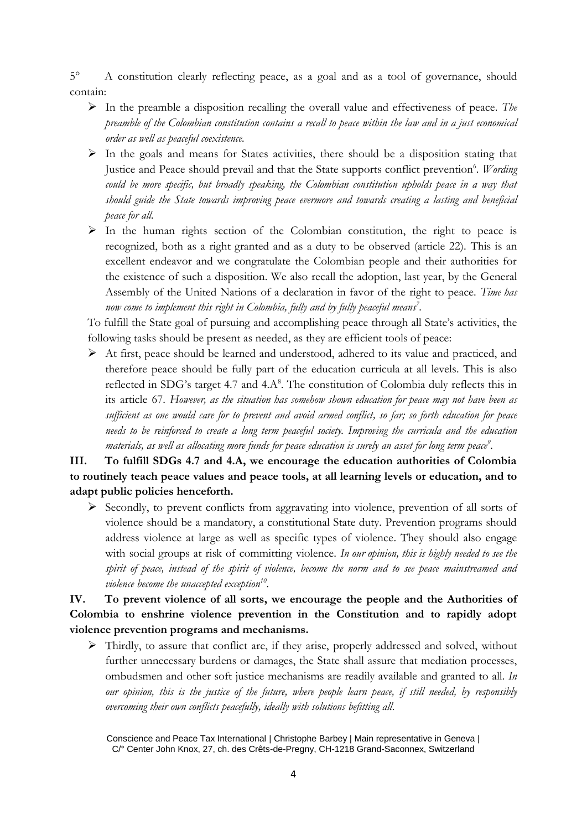5° A constitution clearly reflecting peace, as a goal and as a tool of governance, should contain:

- $\triangleright$  In the preamble a disposition recalling the overall value and effectiveness of peace. *The preamble of the Colombian constitution contains a recall to peace within the law and in a just economical order as well as peaceful coexistence.*
- $\triangleright$  In the goals and means for States activities, there should be a disposition stating that Justice and Peace should prevail and that the State supports conflict prevention<sup>6</sup>. *Wording could be more specific, but broadly speaking, the Colombian constitution upholds peace in a way that should guide the State towards improving peace evermore and towards creating a lasting and beneficial peace for all.*
- $\triangleright$  In the human rights section of the Colombian constitution, the right to peace is recognized, both as a right granted and as a duty to be observed (article 22). This is an excellent endeavor and we congratulate the Colombian people and their authorities for the existence of such a disposition. We also recall the adoption, last year, by the General Assembly of the United Nations of a declaration in favor of the right to peace. *Time has now come to implement this right in Colombia, fully and by fully peaceful means<sup>7</sup> .*

To fulfill the State goal of pursuing and accomplishing peace through all State's activities, the following tasks should be present as needed, as they are efficient tools of peace:

 At first, peace should be learned and understood, adhered to its value and practiced, and therefore peace should be fully part of the education curricula at all levels. This is also reflected in SDG's target 4.7 and  $4.A^8$ . The constitution of Colombia duly reflects this in its article 67. *However, as the situation has somehow shown education for peace may not have been as sufficient as one would care for to prevent and avoid armed conflict, so far; so forth education for peace needs to be reinforced to create a long term peaceful society. Improving the curricula and the education materials, as well as allocating more funds for peace education is surely an asset for long term peace<sup>9</sup> .*

**III. To fulfill SDGs 4.7 and 4.A, we encourage the education authorities of Colombia to routinely teach peace values and peace tools, at all learning levels or education, and to adapt public policies henceforth.**

 Secondly, to prevent conflicts from aggravating into violence, prevention of all sorts of violence should be a mandatory, a constitutional State duty. Prevention programs should address violence at large as well as specific types of violence. They should also engage with social groups at risk of committing violence. *In our opinion, this is highly needed to see the spirit of peace, instead of the spirit of violence, become the norm and to see peace mainstreamed and violence become the unaccepted exception<sup>10</sup> .* 

**IV. To prevent violence of all sorts, we encourage the people and the Authorities of Colombia to enshrine violence prevention in the Constitution and to rapidly adopt violence prevention programs and mechanisms.** 

 Thirdly, to assure that conflict are, if they arise, properly addressed and solved, without further unnecessary burdens or damages, the State shall assure that mediation processes, ombudsmen and other soft justice mechanisms are readily available and granted to all. *In our opinion, this is the justice of the future, where people learn peace, if still needed, by responsibly overcoming their own conflicts peacefully, ideally with solutions befitting all.*

Conscience and Peace Tax International | Christophe Barbey | Main representative in Geneva | C/° Center John Knox, 27, ch. des Crêts-de-Pregny, CH-1218 Grand-Saconnex, Switzerland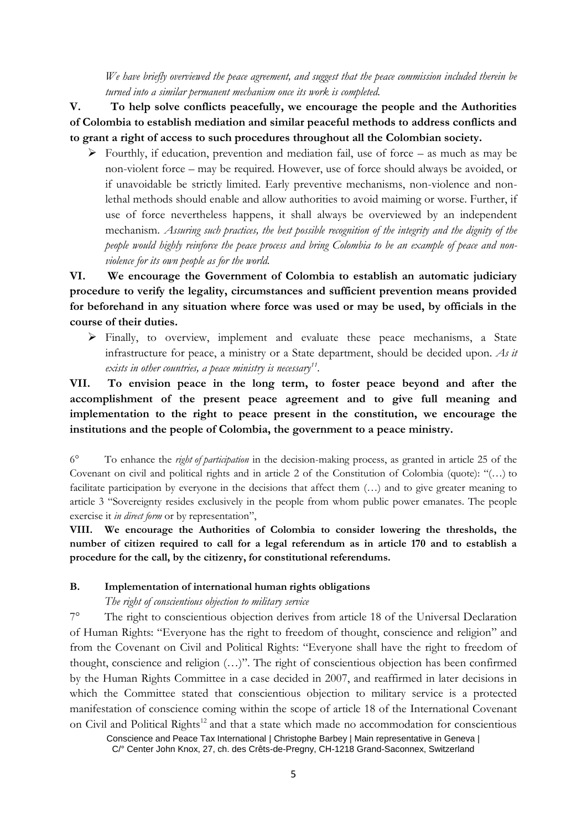*We have briefly overviewed the peace agreement, and suggest that the peace commission included therein be turned into a similar permanent mechanism once its work is completed.*

**V.****To help solve conflicts peacefully, we encourage the people and the Authorities of Colombia to establish mediation and similar peaceful methods to address conflicts and to grant a right of access to such procedures throughout all the Colombian society.**

 $\triangleright$  Fourthly, if education, prevention and mediation fail, use of force – as much as may be non-violent force – may be required. However, use of force should always be avoided, or if unavoidable be strictly limited. Early preventive mechanisms, non-violence and nonlethal methods should enable and allow authorities to avoid maiming or worse. Further, if use of force nevertheless happens, it shall always be overviewed by an independent mechanism. *Assuring such practices, the best possible recognition of the integrity and the dignity of the people would highly reinforce the peace process and bring Colombia to be an example of peace and nonviolence for its own people as for the world.*

**VI. We encourage the Government of Colombia to establish an automatic judiciary procedure to verify the legality, circumstances and sufficient prevention means provided for beforehand in any situation where force was used or may be used, by officials in the course of their duties.** 

 Finally, to overview, implement and evaluate these peace mechanisms, a State infrastructure for peace, a ministry or a State department, should be decided upon. *As it exists in other countries, a peace ministry is necessary<sup>11</sup> .*

**VII. To envision peace in the long term, to foster peace beyond and after the accomplishment of the present peace agreement and to give full meaning and implementation to the right to peace present in the constitution, we encourage the institutions and the people of Colombia, the government to a peace ministry.**

6° To enhance the *right of participation* in the decision-making process, as granted in article 25 of the Covenant on civil and political rights and in article 2 of the Constitution of Colombia (quote): "(…) to facilitate participation by everyone in the decisions that affect them (…) and to give greater meaning to article 3 "Sovereignty resides exclusively in the people from whom public power emanates. The people exercise it *in direct form* or by representation",

**VIII. We encourage the Authorities of Colombia to consider lowering the thresholds, the number of citizen required to call for a legal referendum as in article 170 and to establish a procedure for the call, by the citizenry, for constitutional referendums.**

#### **B. Implementation of international human rights obligations**

#### *The right of conscientious objection to military service*

7° The right to conscientious objection derives from article 18 of the Universal Declaration of Human Rights: "Everyone has the right to freedom of thought, conscience and religion" and from the Covenant on Civil and Political Rights: "Everyone shall have the right to freedom of thought, conscience and religion (…)". The right of conscientious objection has been confirmed by the Human Rights Committee in a case decided in 2007, and reaffirmed in later decisions in which the Committee stated that conscientious objection to military service is a protected manifestation of conscience coming within the scope of article 18 of the International Covenant on Civil and Political Rights<sup>12</sup> and that a state which made no accommodation for conscientious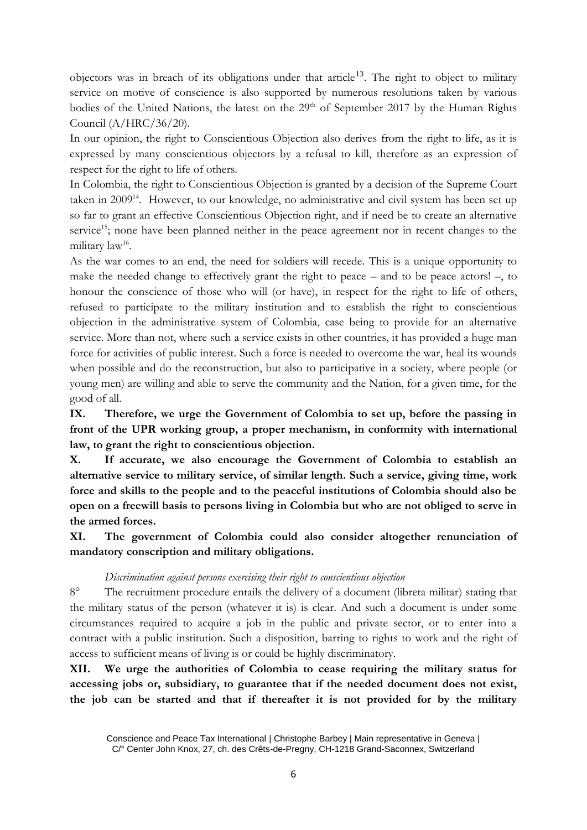objectors was in breach of its obligations under that article<sup>13</sup>. The right to object to military service on motive of conscience is also supported by numerous resolutions taken by various bodies of the United Nations, the latest on the  $29<sup>th</sup>$  of September 2017 by the Human Rights Council (A/HRC/36/20).

In our opinion, the right to Conscientious Objection also derives from the right to life, as it is expressed by many conscientious objectors by a refusal to kill, therefore as an expression of respect for the right to life of others.

In Colombia, the right to Conscientious Objection is granted by a decision of the Supreme Court taken in 2009<sup>14</sup>. However, to our knowledge, no administrative and civil system has been set up so far to grant an effective Conscientious Objection right, and if need be to create an alternative service<sup>15</sup>; none have been planned neither in the peace agreement nor in recent changes to the military law $^{16}$ .

As the war comes to an end, the need for soldiers will recede. This is a unique opportunity to make the needed change to effectively grant the right to peace – and to be peace actors! –, to honour the conscience of those who will (or have), in respect for the right to life of others, refused to participate to the military institution and to establish the right to conscientious objection in the administrative system of Colombia, case being to provide for an alternative service. More than not, where such a service exists in other countries, it has provided a huge man force for activities of public interest. Such a force is needed to overcome the war, heal its wounds when possible and do the reconstruction, but also to participative in a society, where people (or young men) are willing and able to serve the community and the Nation, for a given time, for the good of all.

**IX. Therefore, we urge the Government of Colombia to set up, before the passing in front of the UPR working group, a proper mechanism, in conformity with international law, to grant the right to conscientious objection.**

**X. If accurate, we also encourage the Government of Colombia to establish an alternative service to military service, of similar length. Such a service, giving time, work force and skills to the people and to the peaceful institutions of Colombia should also be open on a freewill basis to persons living in Colombia but who are not obliged to serve in the armed forces.** 

**XI. The government of Colombia could also consider altogether renunciation of mandatory conscription and military obligations.** 

#### *Discrimination against persons exercising their right to conscientious objection*

8° The recruitment procedure entails the delivery of a document (libreta militar) stating that the military status of the person (whatever it is) is clear. And such a document is under some circumstances required to acquire a job in the public and private sector, or to enter into a contract with a public institution. Such a disposition, barring to rights to work and the right of access to sufficient means of living is or could be highly discriminatory.

**XII. We urge the authorities of Colombia to cease requiring the military status for accessing jobs or, subsidiary, to guarantee that if the needed document does not exist, the job can be started and that if thereafter it is not provided for by the military** 

Conscience and Peace Tax International | Christophe Barbey | Main representative in Geneva | C/° Center John Knox, 27, ch. des Crêts-de-Pregny, CH-1218 Grand-Saconnex, Switzerland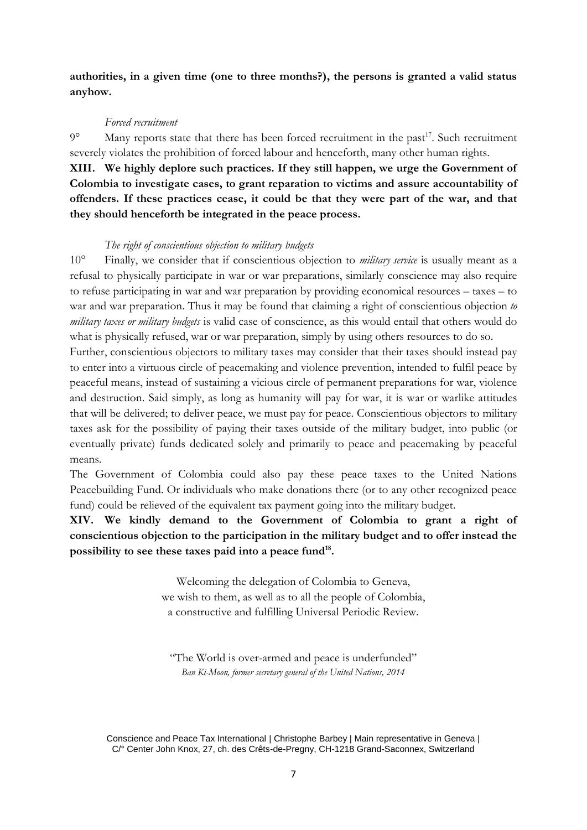**authorities, in a given time (one to three months?), the persons is granted a valid status anyhow.**

#### *Forced recruitment*

 $9^{\circ}$  Many reports state that there has been forced recruitment in the past<sup>17</sup>. Such recruitment severely violates the prohibition of forced labour and henceforth, many other human rights.

**XIII. We highly deplore such practices. If they still happen, we urge the Government of Colombia to investigate cases, to grant reparation to victims and assure accountability of offenders. If these practices cease, it could be that they were part of the war, and that they should henceforth be integrated in the peace process.**

#### *The right of conscientious objection to military budgets*

10° Finally, we consider that if conscientious objection to *military service* is usually meant as a refusal to physically participate in war or war preparations, similarly conscience may also require to refuse participating in war and war preparation by providing economical resources – taxes – to war and war preparation. Thus it may be found that claiming a right of conscientious objection *to military taxes or military budgets* is valid case of conscience, as this would entail that others would do what is physically refused, war or war preparation, simply by using others resources to do so.

Further, conscientious objectors to military taxes may consider that their taxes should instead pay to enter into a virtuous circle of peacemaking and violence prevention, intended to fulfil peace by peaceful means, instead of sustaining a vicious circle of permanent preparations for war, violence and destruction. Said simply, as long as humanity will pay for war, it is war or warlike attitudes that will be delivered; to deliver peace, we must pay for peace. Conscientious objectors to military taxes ask for the possibility of paying their taxes outside of the military budget, into public (or eventually private) funds dedicated solely and primarily to peace and peacemaking by peaceful means.

The Government of Colombia could also pay these peace taxes to the United Nations Peacebuilding Fund. Or individuals who make donations there (or to any other recognized peace fund) could be relieved of the equivalent tax payment going into the military budget.

#### **XIV. We kindly demand to the Government of Colombia to grant a right of conscientious objection to the participation in the military budget and to offer instead the possibility to see these taxes paid into a peace fund<sup>18</sup> .**

Welcoming the delegation of Colombia to Geneva, we wish to them, as well as to all the people of Colombia, a constructive and fulfilling Universal Periodic Review.

"The World is over-armed and peace is underfunded" *Ban Ki-Moon, former secretary general of the United Nations, 2014*